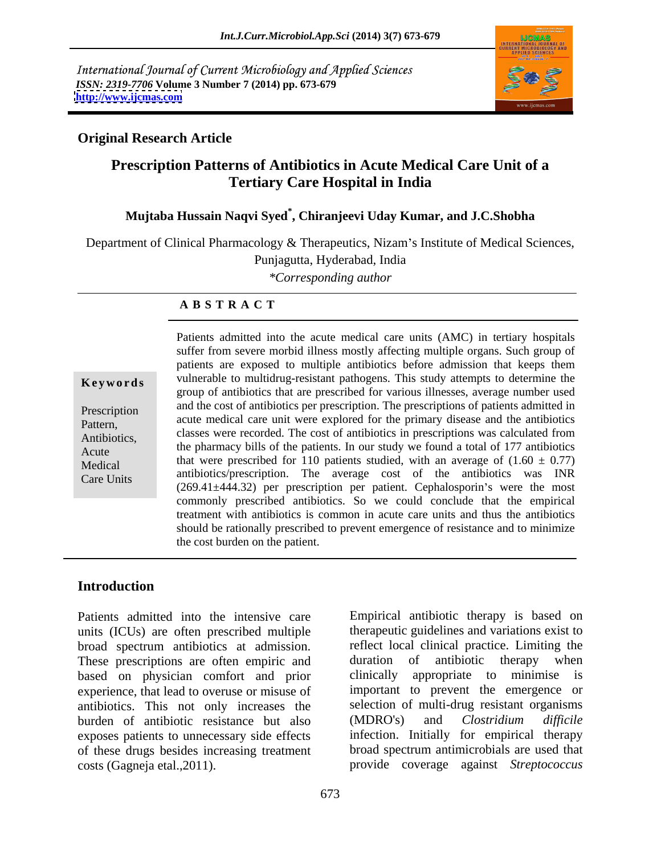International Journal of Current Microbiology and Applied Sciences *ISSN: 2319-7706* **Volume 3 Number 7 (2014) pp. 673-679 <http://www.ijcmas.com>**



## **Original Research Article**

## **Prescription Patterns of Antibiotics in Acute Medical Care Unit of a Tertiary Care Hospital in India**

## **Mujtaba Hussain Naqvi Syed\* , Chiranjeevi Uday Kumar, and J.C.Shobha**

Department of Clinical Pharmacology & Therapeutics, Nizam's Institute of Medical Sciences,

Punjagutta, Hyderabad, India

*\*Corresponding author* 

### **A B S T R A C T**

**Keywords** vulnerable to multidrug-resistant pathogens. This study attempts to determine the Prescription and the cost of antiofolics per prescription. The prescriptions of patients admitted in Pattern, acute medical care unit were explored for the primary disease and the antibiotics Antibiotics,<br>A cute the pharmacy bills of the patients. In our study we found a total of 177 antibiotics Acute the pharmacy only of the patients. In our study we found a total of  $177$  antiofolics<br>Medical that were prescribed for 110 patients studied, with an average of  $(1.60 \pm 0.77)$ Medical that were prescribed for 110 patients studied, with an average of  $(1.00 \pm 0.77)$ <br>Care Unite antibiotics/prescription. The average cost of the antibiotics was INR Care Units (269.41±444.32) per prescription per patient. Cephalosporin s were the most Patients admitted into the acute medical care units (AMC) in tertiary hospitals suffer from severe morbid illness mostly affecting multiple organs. Such group of patients are exposed to multiple antibiotics before admission that keeps them group of antibiotics that are prescribed for various illnesses, average number used and the cost of antibiotics per prescription. The prescriptions of patients admitted in classes were recorded. The cost of antibiotics in prescriptions was calculated from commonly prescribed antibiotics. So we could conclude that the empirical treatment with antibiotics is common in acute care units and thus the antibiotics should be rationally prescribed to prevent emergence of resistance and to minimize the cost burden on the patient.

## **Introduction**

Patients admitted into the intensive care units (ICUs) are often prescribed multiple broad spectrum antibiotics at admission. These prescriptions are often empiric and duration of antibiotic These prescriptions are often empiric and duration of antibiotic therapy when based on physician comfort and prior clinically appropriate to minimise is experience, that lead to overuse or misuse of antibiotics. This not only increases the selection of multi-drug resistant<br>burden of antibiotic resistance but also (MDRO's) and *Clostridium* burden of antibiotic resistance but also (MDRO's) and *Clostridium difficile* exposes patients to unnecessary side effects of these drugs besides increasing treatment costs (Gagneja etal.,2011). provide coverage against *Streptococcus* 

Empirical antibiotic therapy is based on therapeutic guidelines and variations exist to reflect local clinical practice. Limiting the duration of antibiotic therapy when clinically appropriate to minimise important to prevent the emergence or selection of multi-drug resistant organisms (MDRO's) and *Clostridium dif icile* infection. Initially for empirical therapy broad spectrum antimicrobials are used that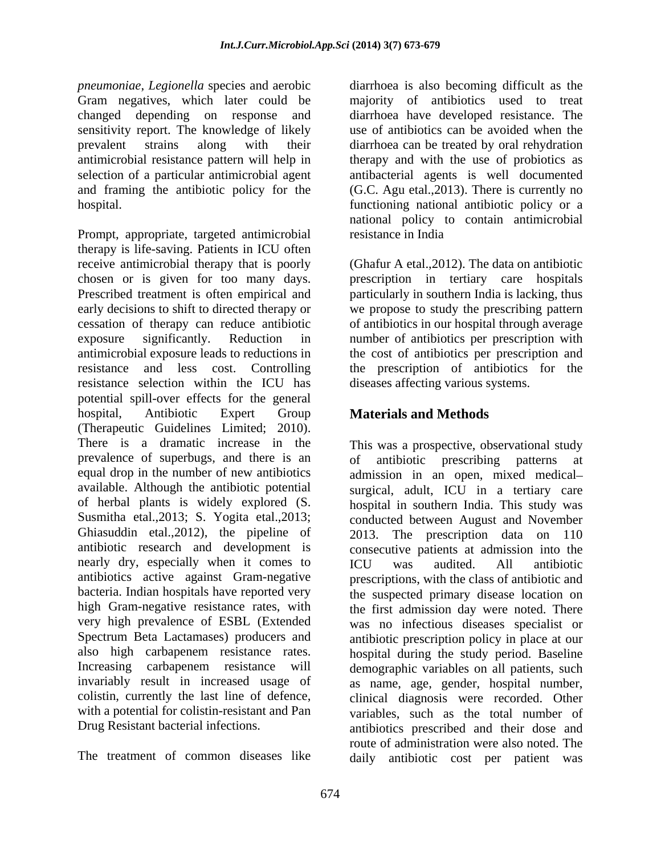*pneumoniae*, *Legionella* species and aerobic Gram negatives, which later could be changed depending on response and diarrhoea have developed resistance. The sensitivity report. The knowledge of likely use of antibiotics can be avoided when the prevalent strains along with their diarrhoea can be treated by oral rehydration antimicrobial resistance pattern will help in therapy and with the use of probiotics as selection of a particular antimicrobial agent and framing the antibiotic policy for the (G.C. Agu etal.,2013). There is currently no hospital. functioning national antibiotic policy or a

Prompt, appropriate, targeted antimicrobial therapy is life-saving. Patients in ICU often receive antimicrobial therapy that is poorly (Ghafur A etal.,2012). The data on antibiotic chosen or is given for too many days. prescription in tertiary care hospitals Prescribed treatment is often empirical and particularly in southern India is lacking, thus early decisions to shift to directed therapy or we propose to study the prescribing pattern cessation of therapy can reduce antibiotic of antibiotics in our hospital through average exposure significantly. Reduction in number of antibiotics per prescription with antimicrobial exposure leads to reductions in the cost of antibiotics per prescription and resistance and less cost. Controlling the prescription of antibiotics for the resistance selection within the ICU has potential spill-over effects for the general hospital, Antibiotic Expert Group **Materials and Methods** (Therapeutic Guidelines Limited; 2010). There is a dramatic increase in the This was a prospective, observational study prevalence of superbugs, and there is an of antibiotic prescribing patterns at equal drop in the number of new antibiotics admission in an open, mixed medical available. Although the antibiotic potential surgical, adult, ICU in a tertiary care of herbal plants is widely explored (S. hospital in southern India. This study was Susmitha etal.,2013; S. Yogita etal.,2013; conducted between August and November Ghiasuddin etal.,2012), the pipeline of 2013.<br>antibiotic research and development is consecu antibiotic research and development is consecutive patients at admission into the nearly dry, especially when it comes to ICU was audited. All antibiotic antibiotics active against Gram-negative bacteria. Indian hospitals have reported very the suspected primary disease location on high Gram-negative resistance rates, with the first admission day were noted. There very high prevalence of ESBL (Extended was no infectious diseases specialist or Spectrum Beta Lactamases) producers and antibiotic prescription policy in place at our also high carbapenem resistance rates. hospital during the study period. Baseline Increasing carbapenem resistance will demographic variables on all patients, such invariably result in increased usage of as name, age, gender, hospital number, colistin, currently the last line of defence, clinical diagnosis were recorded. Other with a potential for colistin-resistant and Pan variables, such as the total number of

diarrhoea is also becoming difficult as the majority of antibiotics used to treat antibacterial agents is well documented national policy to contain antimicrobial resistance in India

diseases affecting various systems.

# **Materials and Methods**

Drug Resistant bacterial infections. antibiotics prescribed and their dose and The treatment of common diseases like daily antibiotic cost per patient wasof antibiotic prescribing patterns at The prescription data on 110 ICU was audited. All antibiotic prescriptions, with the class of antibiotic and route of administration were also noted. The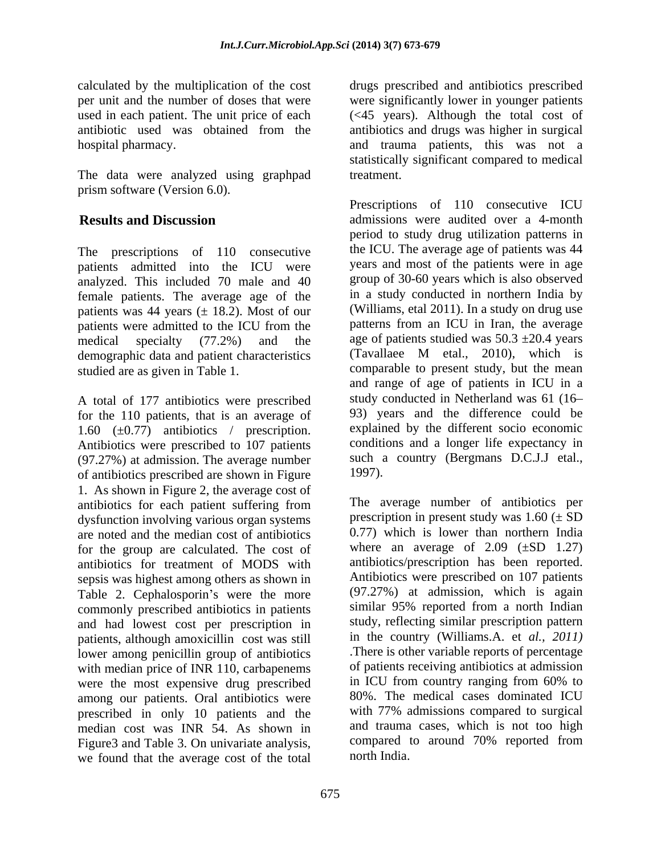used in each patient. The unit price of each

The data were analyzed using graphpad prism software (Version 6.0).

The prescriptions of 110 consecutive patients admitted into the ICU were analyzed. This included 70 male and 40 female patients. The average age of the patients was 44 years  $(\pm 18.2)$ . Most of our patients were admitted to the ICU from the demographic data and patient characteristics (Tavallaee M etal., 2010), which is

A total of 177 antibiotics were prescribed for the 110 patients, that is an average of 1.60  $(\pm 0.77)$  antibiotics / prescription. Antibiotics were prescribed to 107 patients (97.27%) at admission. The average number such a such a of antibiotics prescribed are shown in Figure 1997). of antibiotics prescribed are shown in Figure 1. As shown in Figure 2, the average cost of antibiotics for each patient suffering from dysfunction involving various organ systems are noted and the median cost of antibiotics for the group are calculated. The cost of antibiotics for treatment of MODS with sepsis was highest among others as shown in Table 2. Cephalosporin's were the more commonly prescribed antibiotics in patients and had lowest cost per prescription in patients, although amoxicillin cost was still lower among penicillin group of antibiotics with median price of INR 110, carbapenems were the most expensive drug prescribed among our patients. Oral antibiotics were prescribed in only 10 patients and the median cost was INR 54. As shown in Figure3 and Table 3. On univariate analysis, we found that the average cost of the total

calculated by the multiplication of the cost drugs prescribed and antibiotics prescribed per unit and the number of doses that were were significantly lower in younger patients antibiotic used was obtained from the antibiotics and drugs was higher in surgical hospital pharmacy. and trauma patients, this was not a (<45 years). Although the total cost of statistically significant compared to medical treatment.

**Results and Discussion** admissions were audited over a 4-month medical specialty (77.2%) and the age of patients studied was  $50.3 \pm 20.4$  years studied are as given in Table 1. comparable to present study, but the mean Prescriptions of 110 consecutive ICU period to study drug utilization patterns in the ICU. The average age of patients was 44 years and most of the patients were in age group of 30-60 years which is also observed in a study conducted in northern India by (Williams, etal 2011). In a study on drug use patterns from an ICU in Iran, the average (Tavallaee M etal., 2010), which is and range of age of patients in ICU in a study conducted in Netherland was 61 (16 93) years and the difference could be explained by the different socio economic conditions and a longer life expectancy in such a country (Bergmans D.C.J.J etal., 1997).

> The average number of antibiotics per prescription in present study was  $1.60 \ (\pm S)$ 0.77) which is lower than northern India where an average of  $2.09$  ( $\pm SD$  1.27) antibiotics/prescription has been reported. Antibiotics were prescribed on 107 patients (97.27%) at admission, which is again similar 95% reported from a north Indian study, reflecting similar prescription pattern in the country (Williams.A. et *al., 2011)* .There is other variable reports of percentage of patients receiving antibiotics at admission in ICU from country ranging from 60% to 80%. The medical cases dominated ICU with 77% admissions compared to surgical and trauma cases, which is not too high compared to around 70% reported from north India.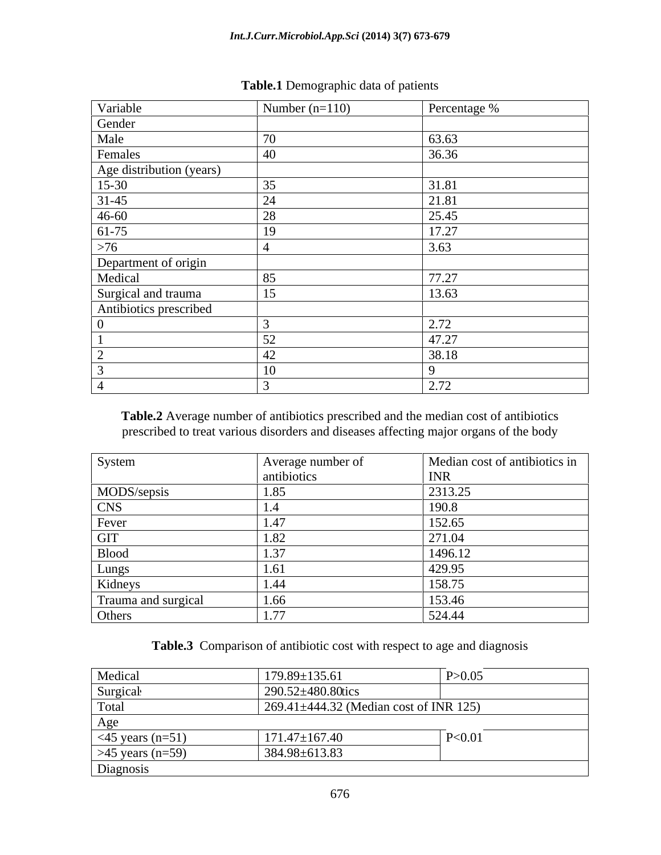| Variable                                      | Number $(n=110)$ | Percentage % |
|-----------------------------------------------|------------------|--------------|
| Gender                                        |                  |              |
| Male                                          |                  | 63.63        |
| Females                                       |                  | 36.36        |
|                                               |                  |              |
| Age distribution (years)<br>15-30             |                  | 31.81        |
| $31-45$                                       |                  | 21.81        |
| $46 - 60$                                     |                  | 25.45        |
| $61-75$                                       |                  | 17.27        |
| $>76$                                         |                  | 3.63         |
| Department of origin                          |                  |              |
| Medical                                       |                  | 77.27        |
| Surgical and trauma<br>Antibiotics prescribed |                  | 13.63        |
|                                               |                  |              |
|                                               |                  | 2.72         |
|                                               |                  | 47.27        |
|                                               |                  | 38.18        |
|                                               |                  |              |
|                                               |                  | 2.72         |

## **Table.1** Demographic data of patients

**Table.2** Average number of antibiotics prescribed and the median cost of antibiotics prescribed to treat various disorders and diseases affecting major organs of the body

| System              | Average number of | Median cost of antibiotics in |
|---------------------|-------------------|-------------------------------|
|                     | antibiotics       | <b>INR</b>                    |
| MODS/sepsis         | 1.89              | 2313.25                       |
| <b>CNS</b>          |                   | 190.8                         |
| Fever               |                   | 152.65                        |
| GIT                 |                   | 271.04                        |
| <b>Blood</b>        |                   | 1496.12                       |
| Lungs               |                   | 429.95                        |
| Kidneys             |                   | 158.75                        |
| Trauma and surgical | 1.66              | 153.46                        |
| Others              | 1.77<br>1.11      | 524.44                        |

## Table.3 Comparison of antibiotic cost with respect to age and diagnosis

| Medical                | $179.89 \pm 135.61$                    | P > 0.05 |
|------------------------|----------------------------------------|----------|
| Surgical               | 290.52±480.80tics                      |          |
| Total                  | 269.41±444.32 (Median cost of INR 125) |          |
| Age                    |                                        |          |
| $\leq$ 45 years (n=51) | $171.47 \pm 167.40$                    | P < 0.01 |
| $>45$ years (n=59)     | 384.98±613.83                          |          |
| Diagnosis              |                                        |          |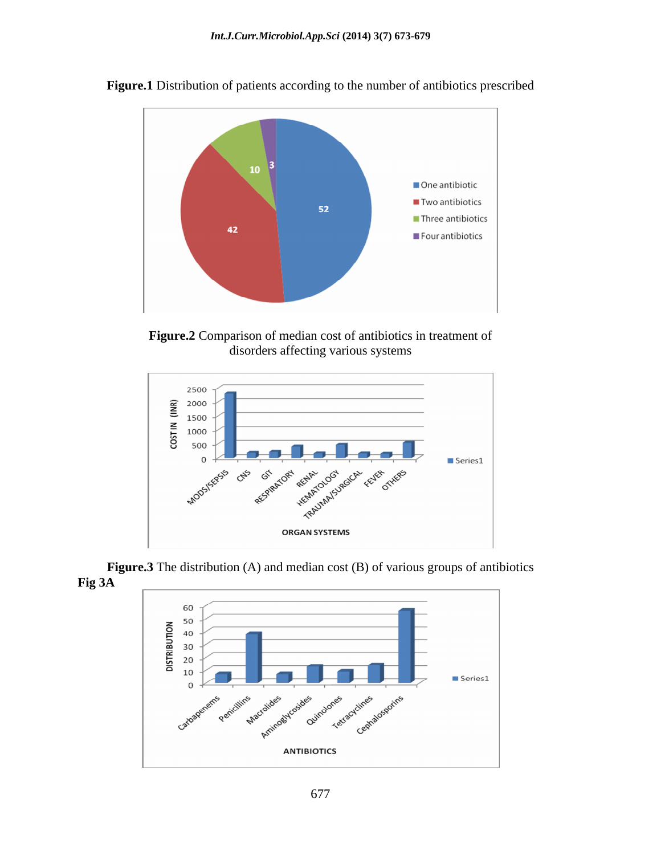

**Figure.1** Distribution of patients according to the number of antibiotics prescribed





**Figure.3** The distribution (A) and median cost (B) of various groups of antibiotics **Fig 3A** 

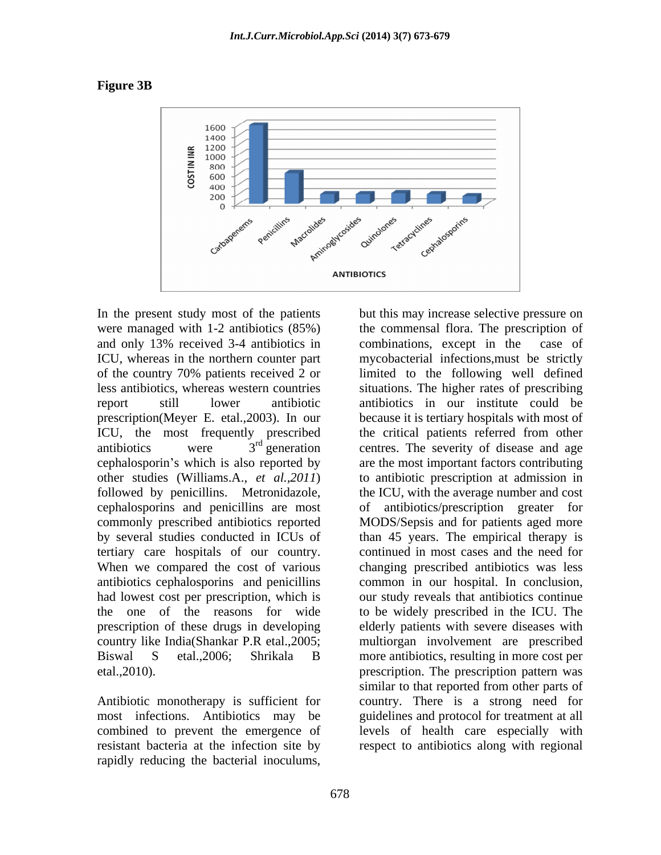



In the present study most of the patients but this may increase selective pressure on and only 13% received 3-4 antibiotics in prescription(Meyer E. etal.,2003). In our cephalosporins and penicillins are most

resistant bacteria at the infection site by respect to antibiotics along with regional

were managed with 1-2 antibiotics (85%) the commensal flora. The prescription of ICU, whereas in the northern counter part mycobacterial infections,must be strictly of the country 70% patients received 2 or limited to the following well defined less antibiotics, whereas western countries situations. The higher rates of prescribing report still lower antibiotic antibiotics in our institute could be ICU, the most frequently prescribed the critical patients referred from other antibiotics were  $3<sup>rd</sup>$  generation centres. The severity of disease and age cephalosporin's which is also reported by are the most important factors contributing other studies (Williams.A., *et al.,2011*) to antibiotic prescription at admission in followed by penicillins. Metronidazole, the ICU, with the average number and cost commonly prescribed antibiotics reported MODS/Sepsis and for patients aged more by several studies conducted in ICUs of than 45 years. The empirical therapy is tertiary care hospitals of our country. continued in most cases and the need for When we compared the cost of various changing prescribed antibiotics was less antibiotics cephalosporins and penicillins common in our hospital. In conclusion, had lowest cost per prescription, which is our study reveals that antibiotics continue the one of the reasons for wide to be widely prescribed in the ICU. The prescription of these drugs in developing elderly patients with severe diseases with country like India(Shankar P.R etal.,2005; multiorgan involvement are prescribed Biswal S etal.,2006; Shrikala B more antibiotics, resulting in more cost per etal.,2010). prescription. The prescription pattern was Antibiotic monotherapy is sufficient for country. There is a strong need for most infections. Antibiotics may be guidelines and protocol for treatment at all combined to prevent the emergence of levels of health care especially with In the present study most of the paintins in but this may increase selective pressure on any inversion of the painting in the presentation is computation, second 3-4 antibiotics in combinations, secend in the case of ECU, combinations, except in the because it is tertiary hospitals with most of antibiotics/prescription greater similar to that reported from other parts of